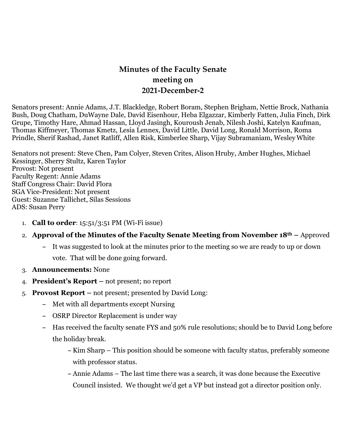# **Minutes of the Faculty Senate meeting on 2021-December-2**

Senators present: Annie Adams, J.T. Blackledge, Robert Boram, Stephen Brigham, Nettie Brock, Nathania Bush, Doug Chatham, DuWayne Dale, David Eisenhour, Heba Elgazzar, Kimberly Fatten, Julia Finch, Dirk Grupe, Timothy Hare, Ahmad Hassan, Lloyd Jasingh, Kouroush Jenab, Nilesh Joshi, Katelyn Kaufman, Thomas Kiffmeyer, Thomas Kmetz, Lesia Lennex, David Little, David Long, Ronald Morrison, Roma Prindle, Sherif Rashad, Janet Ratliff, Allen Risk, Kimberlee Sharp, Vijay Subramaniam, WesleyWhite

Senators not present: Steve Chen, Pam Colyer, Steven Crites, Alison Hruby, Amber Hughes, Michael Kessinger, Sherry Stultz, Karen Taylor Provost: Not present Faculty Regent: Annie Adams Staff Congress Chair: David Flora SGA Vice-President: Not present Guest: Suzanne Tallichet, Silas Sessions ADS: Susan Perry

- 1. **Call to order**: 15:51/3:51 PM (Wi-Fi issue)
- 2. **Approval of the Minutes of the Faculty Senate Meeting from November 18th –** Approved
	- **–** It was suggested to look at the minutes prior to the meeting so we are ready to up or down vote. That will be done going forward.
- 3. **Announcements:** None
- 4. **President's Report –** not present; no report
- 5. **Provost Report –** not present; presented by David Long:
	- **–** Met with all departments except Nursing
	- **–** OSRP Director Replacement is under way
	- **–** Has received the faculty senate FYS and 50% rule resolutions; should be to David Long before the holiday break.
		- **–** Kim Sharp This position should be someone with faculty status, preferably someone with professor status.
		- **–** Annie Adams The last time there was a search, it was done because the Executive Council insisted. We thought we'd get a VP but instead got a director position only.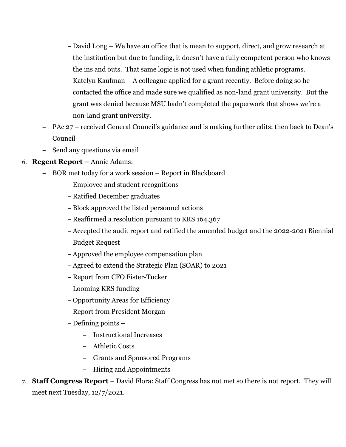- **–** David Long We have an office that is mean to support, direct, and grow research at the institution but due to funding, it doesn't have a fully competent person who knows the ins and outs. That same logic is not used when funding athletic programs.
- **–** Katelyn Kaufman A colleague applied for a grant recently. Before doing so he contacted the office and made sure we qualified as non-land grant university. But the grant was denied because MSU hadn't completed the paperwork that shows we're a non-land grant university.
- **–** PAc 27 received General Council's guidance and is making further edits; then back to Dean's Council
- **–** Send any questions via email
- 6. **Regent Report –** Annie Adams:
	- **–** BOR met today for a work session Report in Blackboard
		- **–** Employee and student recognitions
		- **–** Ratified December graduates
		- **–** Block approved the listed personnel actions
		- **–** Reaffirmed a resolution pursuant to KRS 164.367
		- **–** Accepted the audit report and ratified the amended budget and the 2022-2021 Biennial Budget Request
		- **–** Approved the employee compensation plan
		- **–** Agreed to extend the Strategic Plan (SOAR) to 2021
		- **–** Report from CFO Fister-Tucker
		- **–** Looming KRS funding
		- **–** Opportunity Areas for Efficiency
		- **–** Report from President Morgan
		- **–** Defining points
			- **–** Instructional Increases
			- **–** Athletic Costs
			- **–** Grants and Sponsored Programs
			- **–** Hiring and Appointments
- 7. **Staff Congress Report** David Flora: Staff Congress has not met so there is not report. They will meet next Tuesday, 12/7/2021.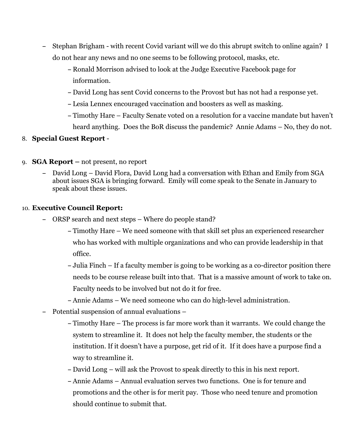- **–** Stephan Brigham with recent Covid variant will we do this abrupt switch to online again? I do not hear any news and no one seems to be following protocol, masks, etc.
	- **–** Ronald Morrison advised to look at the Judge Executive Facebook page for information.
	- **–** David Long has sent Covid concerns to the Provost but has not had a response yet.
	- **–** Lesia Lennex encouraged vaccination and boosters as well as masking.
	- **–** Timothy Hare Faculty Senate voted on a resolution for a vaccine mandate but haven't heard anything. Does the BoR discuss the pandemic? Annie Adams – No, they do not.

#### 8. **Special Guest Report** -

- 9. **SGA Report –** not present, no report
	- **–** David Long David Flora, David Long had a conversation with Ethan and Emily from SGA about issues SGA is bringing forward. Emily will come speak to the Senate in January to speak about these issues.

#### 10. **Executive Council Report:**

- **–** ORSP search and next steps Where do people stand?
	- **–** Timothy Hare We need someone with that skill set plus an experienced researcher who has worked with multiple organizations and who can provide leadership in that office.
	- **–** Julia Finch If a faculty member is going to be working as a co-director position there needs to be course release built into that. That is a massive amount of work to take on. Faculty needs to be involved but not do it for free.
	- **–** Annie Adams We need someone who can do high-level administration.
- **–** Potential suspension of annual evaluations
	- **–** Timothy Hare The process is far more work than it warrants. We could change the system to streamline it. It does not help the faculty member, the students or the institution. If it doesn't have a purpose, get rid of it. If it does have a purpose find a way to streamline it.
	- **–** David Long will ask the Provost to speak directly to this in his next report.
	- **–** Annie Adams Annual evaluation serves two functions. One is for tenure and promotions and the other is for merit pay. Those who need tenure and promotion should continue to submit that.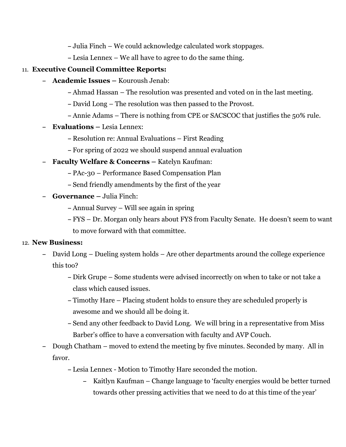**–** Julia Finch – We could acknowledge calculated work stoppages.

**–** Lesia Lennex – We all have to agree to do the same thing.

## 11. **Executive Council Committee Reports:**

- **– Academic Issues –** Kouroush Jenab:
	- **–** Ahmad Hassan The resolution was presented and voted on in the last meeting.
	- **–** David Long The resolution was then passed to the Provost.
	- **–** Annie Adams There is nothing from CPE or SACSCOC that justifies the 50% rule.
- **– Evaluations –** Lesia Lennex:
	- **–** Resolution re: Annual Evaluations First Reading
	- **–** For spring of 2022 we should suspend annual evaluation
- **– Faculty Welfare & Concerns –** Katelyn Kaufman:
	- **–** PAc-30 Performance Based Compensation Plan
	- **–** Send friendly amendments by the first of the year
- **– Governance –** Julia Finch:
	- **–** Annual Survey Will see again in spring
	- **–** FYS Dr. Morgan only hears about FYS from Faculty Senate. He doesn't seem to want to move forward with that committee.

### 12. **New Business:**

- **–** David Long Dueling system holds Are other departments around the college experience this too?
	- **–** Dirk Grupe Some students were advised incorrectly on when to take or not take a class which caused issues.
	- **–** Timothy Hare Placing student holds to ensure they are scheduled properly is awesome and we should all be doing it.
	- **–** Send any other feedback to David Long. We will bring in a representative from Miss Barber's office to have a conversation with faculty and AVP Couch.
- **–** Dough Chatham moved to extend the meeting by five minutes. Seconded by many. All in favor.
	- **–** Lesia Lennex Motion to Timothy Hare seconded the motion.
		- **–** Kaitlyn Kaufman Change language to 'faculty energies would be better turned towards other pressing activities that we need to do at this time of the year'